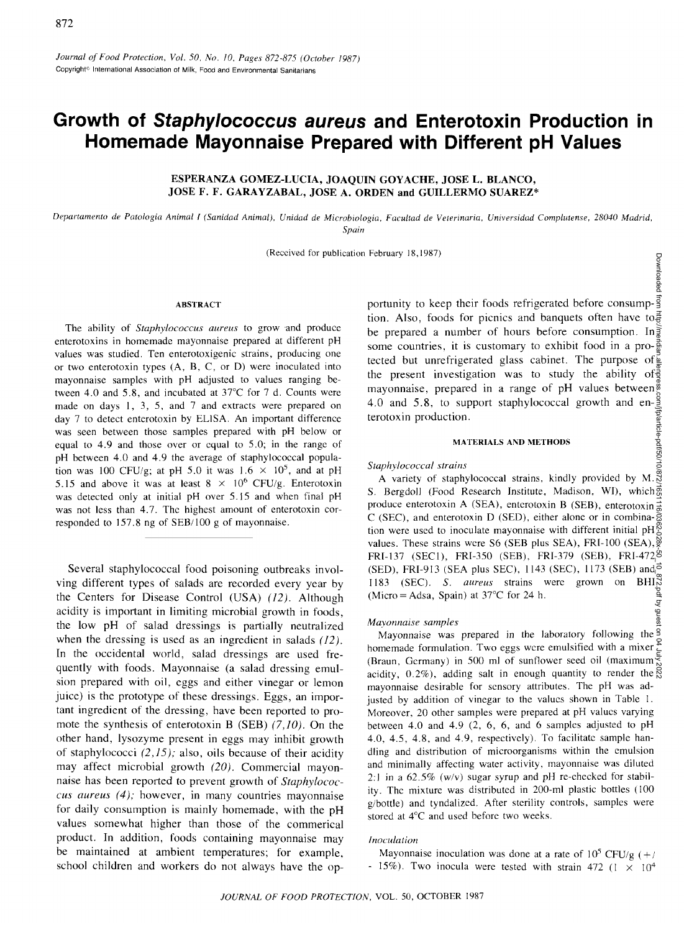# **Growth of Staphylococcus aureus and Enterotoxin Production in Homemade Mayonnaise Prepared with Different pH Values**

# **ESPERANZA GOMEZ-LUCIA, JOAQUIN GOYACHE, JOSE L. BLANCO, JOSE F. F. GARAYZABAL, JOSE A. ORDEN and GUILLERMO SUAREZ\***

*Depanamento de Patologia Animal I (Sanidad Animal), Unidad de Microbiologia, Facultad de Veterinaha, Universidad Complutense, 28040 Madrid, Spain* 

(Received for publication February 18,1987)

## **ABSTRACT**

The ability of *Staphylococcus aureus* to grow and produce enterotoxins in homemade mayonnaise prepared at different pH values was studied. Ten enterotoxigenic strains, producing one or two enterotoxin types (A, B, C, or D) were inoculated into mayonnaise samples with pH adjusted to values ranging between 4.0 and 5.8, and incubated at 37°C for 7 d. Counts were made on days 1, 3, 5, and 7 and extracts were prepared on day 7 to detect enterotoxin by EL1SA. An important difference was seen between those samples prepared with pH below or equal to 4.9 and those over or equal to 5.0; in the range of pH between 4.0 and 4.9 the average of staphylococcal population was 100 CFU/g; at pH 5.0 it was  $1.6 \times 10^5$ , and at pH 5.15 and above it was at least  $8 \times 10^6$  CFU/g. Enterotoxin was detected only at initial pH over 5.15 and when final pH was not less than 4.7. The highest amount of enterotoxin corresponded to 157.8 ng of SEB/100 g of mayonnaise.

Several staphylococcal food poisoning outbreaks involving different types of salads are recorded every year by the Centers for Disease Control (USA) *(12).* Although acidity is important in limiting microbial growth in foods, the low pH of salad dressings is partially neutralized when the dressing is used as an ingredient in salads *(12).*  In the occidental world, salad dressings are used frequently with foods. Mayonnaise (a salad dressing emulsion prepared with oil, eggs and either vinegar or lemon juice) is the prototype of these dressings. Eggs, an important ingredient of the dressing, have been reported to promote the synthesis of enterotoxin B (SEB) *(7,10).* On the other hand, lysozyme present in eggs may inhibit growth of staphylococci *(2,15);* also, oils because of their acidity may affect microbial growth *(20).* Commercial mayonnaise has been reported to prevent growth of *Staphylococcus aureus (4);* however, in many countries mayonnaise for daily consumption is mainly homemade, with the pH values somewhat higher than those of the commerical product. In addition, foods containing mayonnaise may be maintained at ambient temperatures; for example, school children and workers do not always have the opportunity to keep their foods refrigerated before consumption. Also, foods for picnics and banquets often have to  $\frac{3}{5}$ be prepared a number of hours before consumption. In  $\frac{5}{2}$ some countries, it is customary to exhibit food in a pro- $\frac{3}{8}$ tected but unrefrigerated glass cabinet. The purpose of the present investigation was to study the ability of mayonnaise, prepared in a range of pH values between<sup>®</sup> 4.0 and 5.8, to support staphylococcal growth and en- $\frac{8}{3}$ terotoxin production.

Downloa adec

#### **MATERIALS AND METHODS**

## *Staphylococcal strains*

Downloaded from http://meridian.allenpress.com/jfp/article-pdf/50/10/872/1651116/0362-028x-50\_10\_872.pdf by guest on 04 July 2022A variety of staphylococcal strains, kindly provided by M. S. Bergdoll (Food Research Institute, Madison, WI), which produce enterotoxin A (SEA), enterotoxin B (SEB), enterotoxin  $\frac{3}{8}$ C (SEC), and enterotoxin D (SED), either alone or in combina- $\frac{5}{8}$ tion were used to inoculate mayonnaise with different initial pH values. These strains were S6 (SEB plus SEA), FRI-100 (SEA),  $\frac{\infty}{8}$ FRI-137 (SEC1), FRI-350 (SEB), FRI-379 (SEB), FRI-472 (SED), FRI-913 (SEA plus SEC), 1143 (SEC), 1173 (SEB) and  $\vec{\phi}$ 1183 (SEC). *S. aureus* strains were grown on BHI pdf by guest (Micro = Adsa, Spain) at  $37^{\circ}$ C for 24 h.

### *Mayonnaise samples*

Mayonnaise was prepared in the laboratory following the <sup>9</sup> homemade formulation. Two eggs were emulsified with a mixer  $\sum_{n=1}^{\infty}$ (Braun, Germany) in 500 ml of sunflower seed oil (maximum $\frac{1}{\infty}$ acidity,  $0.2\%$ ), adding salt in enough quantity to render the  $\frac{8}{8}$ mayonnaise desirable for sensory attributes. The pH was adjusted by addition of vinegar to the values shown in Table 1. Moreover, 20 other samples were prepared at pH values varying between 4.0 and 4.9 (2, 6, 6, and 6 samples adjusted to pH 4.0, 4.5, 4.8, and 4.9, respectively). To facilitate sample handling and distribution of microorganisms within the emulsion and minimally affecting water activity, mayonnaise was diluted 2:1 in a  $62.5\%$  (w/v) sugar syrup and pH re-checked for stability. The mixture was distributed in 200-ml plastic bottles (100 g/bottle) and tyndalized. After sterility controls, samples were stored at 4°C and used before two weeks.

## *Inoculation*

Mayonnaise inoculation was done at a rate of  $10^5$  CFU/g (+/ - 15%). Two inocula were tested with strain 472 ( $1 \times 10^4$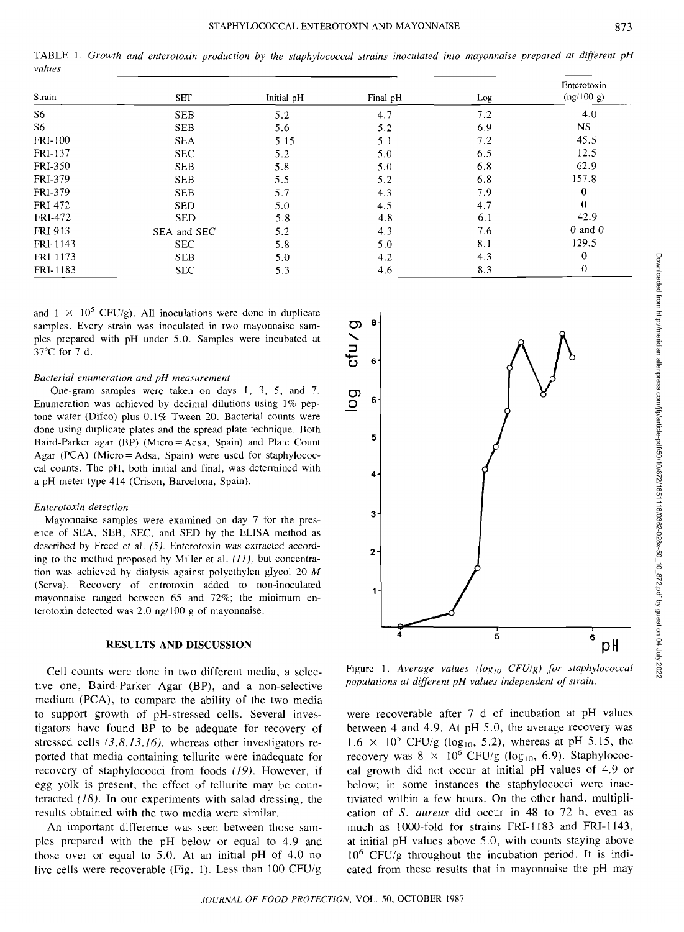TABLE 1. *Growth and enterotoxin production by the staphylococcal strains inoculated into mayonnaise prepared at different pH values.* 

| Strain         | <b>SET</b>  | Initial pH | Final pH | Log | Enterotoxin<br>(ng/100 g) |
|----------------|-------------|------------|----------|-----|---------------------------|
| S6             | <b>SEB</b>  | 5.2        | 4.7      | 7.2 | 4.0                       |
| S6             | <b>SEB</b>  | 5.6        | 5.2      | 6.9 | NS.                       |
| <b>FRI-100</b> | <b>SEA</b>  | 5.15       | 5.1      | 7.2 | 45.5                      |
| FR1-137        | <b>SEC</b>  | 5.2        | 5.0      | 6.5 | 12.5                      |
| <b>FRI-350</b> | <b>SEB</b>  | 5.8        | 5.0      | 6.8 | 62.9                      |
| FRI-379        | <b>SEB</b>  | 5.5        | 5.2      | 6.8 | 157.8                     |
| FR1-379        | <b>SEB</b>  | 5.7        | 4.3      | 7.9 | $\mathbf{0}$              |
| FRI-472        | <b>SED</b>  | 5.0        | 4.5      | 4.7 | $\theta$                  |
| <b>FRI-472</b> | <b>SED</b>  | 5.8        | 4.8      | 6.1 | 42.9                      |
| FRI-913        | SEA and SEC | 5.2        | 4.3      | 7.6 | $0$ and $0$               |
| FRI-1143       | <b>SEC</b>  | 5.8        | 5.0      | 8.1 | 129.5                     |
| FRI-1173       | <b>SEB</b>  | 5.0        | 4.2      | 4.3 | $\bf{0}$                  |
| FRI-1183       | <b>SEC</b>  | 5.3        | 4.6      | 8.3 | $\theta$                  |

and  $1 \times 10^5$  CFU/g). All inoculations were done in duplicate samples. Every strain was inoculated in two mayonnaise samples prepared with pH under 5.0. Samples were incubated at 37°C for 7 d.

#### *Bacterial enumeration and pH measurement*

One-gram samples were taken on days I, 3, 5, and 7. Enumeration was achieved by decimal dilutions using 1% peptone water (Difco) plus 0.1% Tween 20. Bacterial counts were done using duplicate plates and the spread plate technique. Both Baird-Parker agar (BP) (Micro = Adsa, Spain) and Plate Count Agar (PCA) (Micro = Adsa, Spain) were used for staphylococcal counts. The pH, both initial and final, was determined with a pH meter type 414 (Crison, Barcelona, Spain).

## *Enterotoxin detection*

Mayonnaise samples were examined on day 7 for the presence of SEA, SEB, SEC, and SED by the ELISA method as described by Freed et al. *(5).* Enterotoxin was extracted according to the method proposed by Miller et al. *(11),* but concentration was achieved by dialysis against polyethylen glycol 20 *M*  (Serva). Recovery of entrotoxin added to non-inoculated mayonnaise ranged between 65 and 72%; the minimum enterotoxin detected was 2.0 ng/100 g of mayonnaise.

## **RESULTS AND DISCUSSION**

Cell counts were done in two different media, a selective one, Baird-Parker Agar (BP), and a non-selective medium (PCA), to compare the ability of the two media to support growth of pH-stressed cells. Several investigators have found BP to be adequate for recovery of stressed cells *(3,8,13,16),* whereas other investigators reported that media containing tellurite were inadequate for recovery of staphylococci from foods *(19).* However, if egg yolk is present, the effect of tellurite may be counteracted *(18).* In our experiments with salad dressing, the results obtained with the two media were similar.

An important difference was seen between those samples prepared with the pH below or equal to 4.9 and those over or equal to 5.0. At an initial pH of 4.0 no live cells were recoverable (Fig. 1). Less than 100 CFU/g



Figure 1. *Average values (logj0 CFU/g) for staphylococcal populations at different pH values independent of strain.* 

were recoverable after 7 d of incubation at pH values between 4 and 4.9. At pH 5.0, the average recovery was  $1.6 \times 10^5$  CFU/g (log<sub>10</sub>, 5.2), whereas at pH 5.15, the recovery was  $8 \times 10^6$  CFU/g (log<sub>10</sub>, 6.9). Staphylococcal growth did not occur at initial pH values of 4.9 or below; in some instances the staphylococci were inactiviated within a few hours. On the other hand, multiplication of *S. aureus* did occur in 48 to 72 h, even as much as 1000-fold for strains FRI-1183 and FRI-1143, at initial pH values above 5.0, with counts staying above  $10^6$  CFU/g throughout the incubation period. It is indicated from these results that in mayonnaise the pH may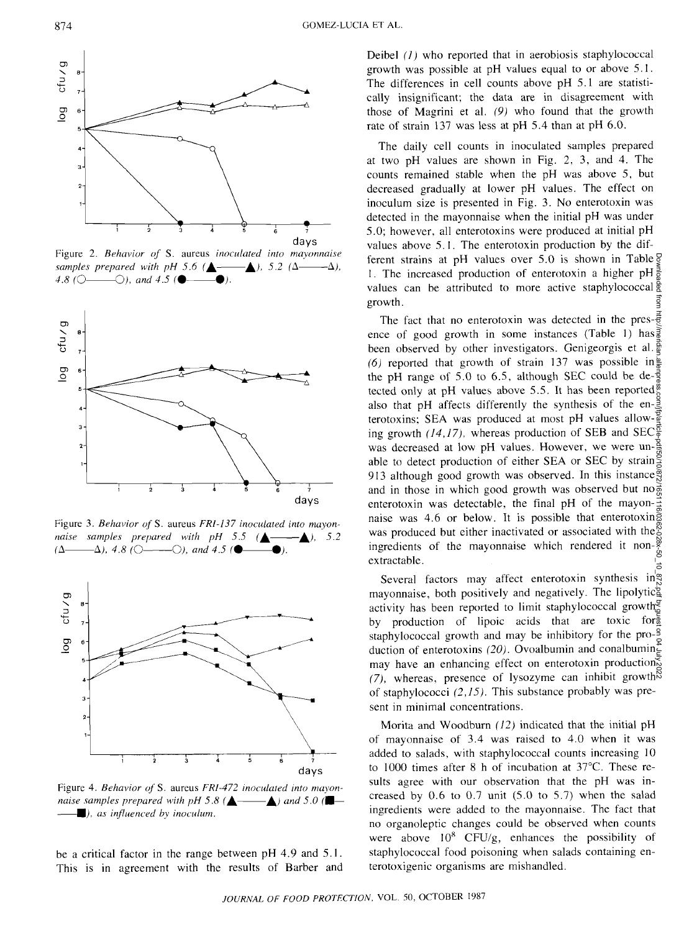

Figure 2. *Behavior of* S. aureus *inoculated into mayonnaise samples prepared with pH 5.6 (* $\triangle$   $\longrightarrow$   $\triangle$ ), 5.2 ( $\triangle$   $\longrightarrow$   $\triangle$ ), 4.8 ( $\circ$   $\circ$   $\circ$ ), and 4.5 ( $\bullet$  –



Figure 3. *Behavior ofS.* aureus *FRl-137 inoculated into mayonnaise samples prepared with pH 5.5 (* $\triangle$ , 5.2  $(\Delta \longrightarrow \Delta)$ , 4.8 ( $\bigcirc \longrightarrow$ ), and 4.5 ( $\bullet$ 



Figure 4. *Behavior ofS.* aureus *FR1-472 inoculated into mayonnaise samples prepared with pH 5.8 (* $\triangle$  *-*  $\triangle$ ) and 5.0 ( $\blacksquare$ -*U), as influenced by inoculum.* 

be a critical factor in the range between pH 4.9 and 5.1. This is in agreement with the results of Barber and Deibel *(1)* who reported that in aerobiosis staphylococcal growth was possible at pH values equal to or above 5.1. The differences in cell counts above pH 5.1 are statistically insignificant; the data are in disagreement with those of Magrini et al. *(9)* who found that the growth rate of strain 137 was less at pH 5.4 than at pH 6.0.

The daily cell counts in inoculated samples prepared at two pH values are shown in Fig. 2, 3, and 4. The counts remained stable when the pH was above 5, but decreased gradually at lower pH values. The effect on inoculum size is presented in Fig. 3. No enterotoxin was detected in the mayonnaise when the initial pH was under 5.0; however, all enterotoxins were produced at initial pH values above 5.1. The enterotoxin production by the different strains at pH values over 5.0 is shown in Table  $\frac{5}{9}$ 1. The increased production of enterotoxin a higher  $pH\frac{3}{5}$ values can be attributed to more active staphylococcal  $\frac{5}{9}$ growth.

The fact that no enterotoxin was detected in the pres- $\frac{2}{5}$ ence of good growth in some instances (Table 1) has  $\frac{3}{8}$ been observed by other investigators. Genigeorgis et al. (6) reported that growth of strain 137 was possible in  $\frac{3}{8}$ the pH range of 5.0 to 6.5, although SEC could be de- $\frac{3}{8}$ tected only at pH values above 5.5. It has been reported<sup> $\frac{\cancel{0}}{6}$ </sup> also that pH affects differently the synthesis of the en- $\frac{3}{5}$ terotoxins; SEA was produced at most pH values allowing growth  $(14,17)$ , whereas production of SEB and SEC<sup> $\frac{5}{9}$ </sup> was decreased at low pH values. However, we were unable to detect production of either SEA or SEC by strain 913 although good growth was observed. In this instance and in those in which good growth was observed but no $\frac{3}{6}$ enterotoxin was detectable, the final pH of the mayon- $\frac{3}{2}$ naise was 4.6 or below. It is possible that enterotoxing was produced but either inactivated or associated with the ingredients of the mayonnaise which rendered it non- $\frac{8}{3}$ extractable. Downloaded from http://meridian.allenpress.com/jfp/article-pdf/50/10/872/1651116/0362-028x-50\_10\_872.pdf by guest on 04 July 2022

Several factors may affect enterotoxin synthesis in mayonnaise, both positively and negatively. The lipolytic activity has been reported to limit staphylococcal growth $\frac{g}{g}$ by production of lipoic acids that are toxic for staphylococcal growth and may be inhibitory for the pro- $\frac{9}{9}$ duction of enterotoxins *(20).* Ovoalbumin and conalbumin may have an enhancing effect on enterotoxin production $\sum_{k=1}^{\infty}$ *(7),* whereas, presence of lysozyme can inhibit growth of staphylococci *(2,15).* This substance probably was present in minimal concentrations.

Morita and Woodburn *(12)* indicated that the initial pH of mayonnaise of 3.4 was raised to 4.0 when it was added to salads, with staphylococcal counts increasing 10 to 1000 times after 8 h of incubation at 37°C. These results agree with our observation that the pH was increased by  $0.6$  to  $0.7$  unit  $(5.0$  to  $5.7)$  when the salad ingredients were added to the mayonnaise. The fact that no organoleptic changes could be observed when counts were above  $10^8$  CFU/g, enhances the possibility of staphylococcal food poisoning when salads containing enterotoxigenic organisms are mishandled.